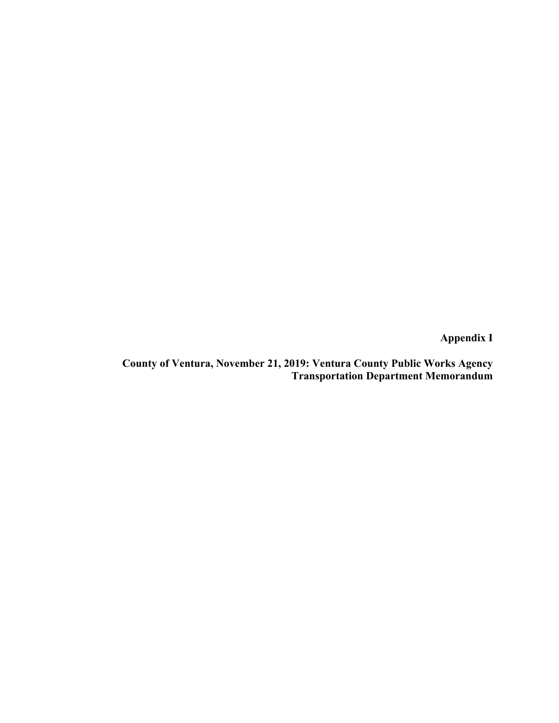**Appendix I** 

**County of Ventura, November 21, 2019: Ventura County Public Works Agency Transportation Department Memorandum**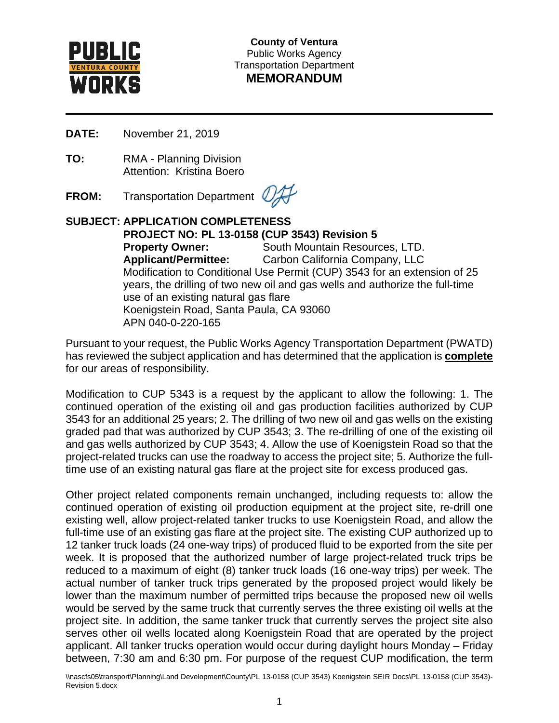

**County of Ventura** Public Works Agency Transportation Department **MEMORANDUM**

**DATE:** November 21, 2019

**TO:** RMA - Planning Division Attention: Kristina Boero

**FROM:** Transportation Department

#### **SUBJECT: APPLICATION COMPLETENESS PROJECT NO: PL 13-0158 (CUP 3543) Revision 5 Property Owner:** South Mountain Resources, LTD. **Applicant/Permittee:** Carbon California Company, LLC Modification to Conditional Use Permit (CUP) 3543 for an extension of 25 years, the drilling of two new oil and gas wells and authorize the full-time use of an existing natural gas flare Koenigstein Road, Santa Paula, CA 93060 APN 040-0-220-165

Pursuant to your request, the Public Works Agency Transportation Department (PWATD) has reviewed the subject application and has determined that the application is **complete** for our areas of responsibility.

Modification to CUP 5343 is a request by the applicant to allow the following: 1. The continued operation of the existing oil and gas production facilities authorized by CUP 3543 for an additional 25 years; 2. The drilling of two new oil and gas wells on the existing graded pad that was authorized by CUP 3543; 3. The re-drilling of one of the existing oil and gas wells authorized by CUP 3543; 4. Allow the use of Koenigstein Road so that the project-related trucks can use the roadway to access the project site; 5. Authorize the fulltime use of an existing natural gas flare at the project site for excess produced gas.

Other project related components remain unchanged, including requests to: allow the continued operation of existing oil production equipment at the project site, re-drill one existing well, allow project-related tanker trucks to use Koenigstein Road, and allow the full-time use of an existing gas flare at the project site. The existing CUP authorized up to 12 tanker truck loads (24 one-way trips) of produced fluid to be exported from the site per week. It is proposed that the authorized number of large project-related truck trips be reduced to a maximum of eight (8) tanker truck loads (16 one-way trips) per week. The actual number of tanker truck trips generated by the proposed project would likely be lower than the maximum number of permitted trips because the proposed new oil wells would be served by the same truck that currently serves the three existing oil wells at the project site. In addition, the same tanker truck that currently serves the project site also serves other oil wells located along Koenigstein Road that are operated by the project applicant. All tanker trucks operation would occur during daylight hours Monday – Friday between, 7:30 am and 6:30 pm. For purpose of the request CUP modification, the term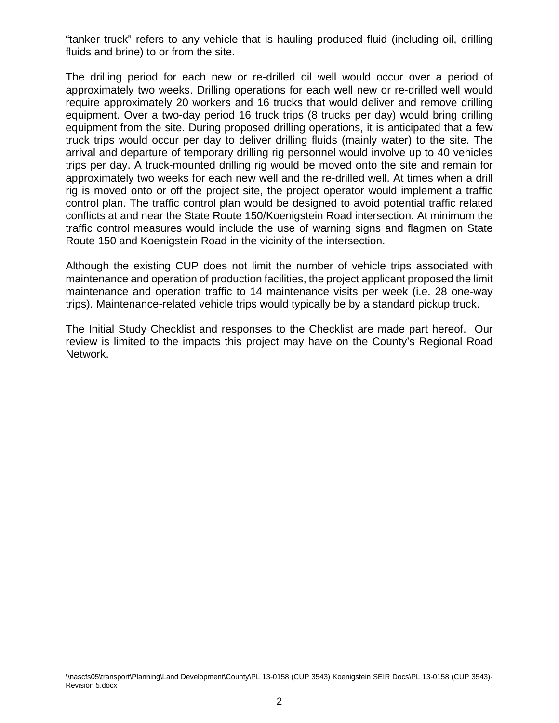"tanker truck" refers to any vehicle that is hauling produced fluid (including oil, drilling fluids and brine) to or from the site.

The drilling period for each new or re-drilled oil well would occur over a period of approximately two weeks. Drilling operations for each well new or re-drilled well would require approximately 20 workers and 16 trucks that would deliver and remove drilling equipment. Over a two-day period 16 truck trips (8 trucks per day) would bring drilling equipment from the site. During proposed drilling operations, it is anticipated that a few truck trips would occur per day to deliver drilling fluids (mainly water) to the site. The arrival and departure of temporary drilling rig personnel would involve up to 40 vehicles trips per day. A truck-mounted drilling rig would be moved onto the site and remain for approximately two weeks for each new well and the re-drilled well. At times when a drill rig is moved onto or off the project site, the project operator would implement a traffic control plan. The traffic control plan would be designed to avoid potential traffic related conflicts at and near the State Route 150/Koenigstein Road intersection. At minimum the traffic control measures would include the use of warning signs and flagmen on State Route 150 and Koenigstein Road in the vicinity of the intersection.

Although the existing CUP does not limit the number of vehicle trips associated with maintenance and operation of production facilities, the project applicant proposed the limit maintenance and operation traffic to 14 maintenance visits per week (i.e. 28 one-way trips). Maintenance-related vehicle trips would typically be by a standard pickup truck.

The Initial Study Checklist and responses to the Checklist are made part hereof. Our review is limited to the impacts this project may have on the County's Regional Road Network.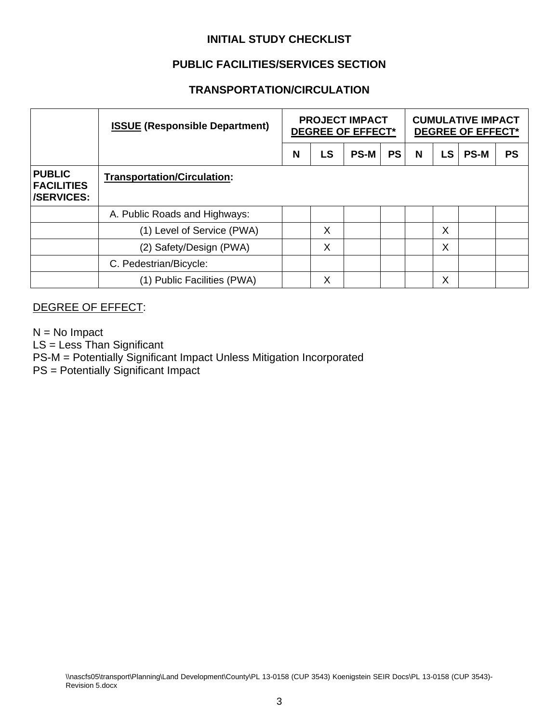# **INITIAL STUDY CHECKLIST**

# **PUBLIC FACILITIES/SERVICES SECTION**

## **TRANSPORTATION/CIRCULATION**

|                                                  | <b>ISSUE (Responsible Department)</b> | <b>PROJECT IMPACT</b><br><b>DEGREE OF EFFECT*</b> |    |             |           | <b>CUMULATIVE IMPACT</b><br><b>DEGREE OF EFFECT*</b> |           |             |           |
|--------------------------------------------------|---------------------------------------|---------------------------------------------------|----|-------------|-----------|------------------------------------------------------|-----------|-------------|-----------|
|                                                  |                                       | N                                                 | LS | <b>PS-M</b> | <b>PS</b> | N                                                    | <b>LS</b> | <b>PS-M</b> | <b>PS</b> |
| <b>PUBLIC</b><br><b>FACILITIES</b><br>/SERVICES: | <b>Transportation/Circulation:</b>    |                                                   |    |             |           |                                                      |           |             |           |
|                                                  | A. Public Roads and Highways:         |                                                   |    |             |           |                                                      |           |             |           |
|                                                  | (1) Level of Service (PWA)            |                                                   | X  |             |           |                                                      | X         |             |           |
|                                                  | (2) Safety/Design (PWA)               |                                                   | X  |             |           |                                                      | Χ         |             |           |
|                                                  | C. Pedestrian/Bicycle:                |                                                   |    |             |           |                                                      |           |             |           |
|                                                  | (1) Public Facilities (PWA)           |                                                   | X  |             |           |                                                      | Χ         |             |           |

## DEGREE OF EFFECT:

 $N = No$  Impact LS = Less Than Significant PS-M = Potentially Significant Impact Unless Mitigation Incorporated PS = Potentially Significant Impact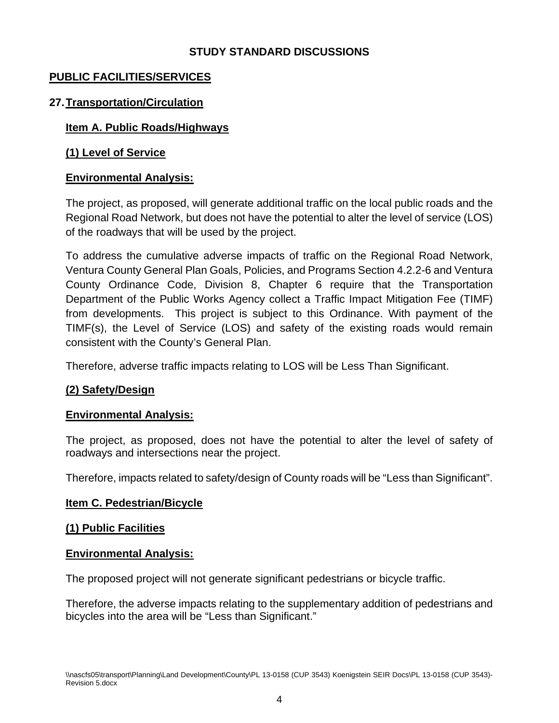## **STUDY STANDARD DISCUSSIONS**

## **PUBLIC FACILITIES/SERVICES**

## **27.Transportation/Circulation**

#### **Item A. Public Roads/Highways**

## **(1) Level of Service**

#### **Environmental Analysis:**

The project, as proposed, will generate additional traffic on the local public roads and the Regional Road Network, but does not have the potential to alter the level of service (LOS) of the roadways that will be used by the project.

To address the cumulative adverse impacts of traffic on the Regional Road Network, Ventura County General Plan Goals, Policies, and Programs Section 4.2.2-6 and Ventura County Ordinance Code, Division 8, Chapter 6 require that the Transportation Department of the Public Works Agency collect a Traffic Impact Mitigation Fee (TIMF) from developments. This project is subject to this Ordinance. With payment of the TIMF(s), the Level of Service (LOS) and safety of the existing roads would remain consistent with the County's General Plan.

Therefore, adverse traffic impacts relating to LOS will be Less Than Significant.

#### **(2) Safety/Design**

#### **Environmental Analysis:**

The project, as proposed, does not have the potential to alter the level of safety of roadways and intersections near the project.

Therefore, impacts related to safety/design of County roads will be "Less than Significant".

#### **Item C. Pedestrian/Bicycle**

#### **(1) Public Facilities**

#### **Environmental Analysis:**

The proposed project will not generate significant pedestrians or bicycle traffic.

Therefore, the adverse impacts relating to the supplementary addition of pedestrians and bicycles into the area will be "Less than Significant."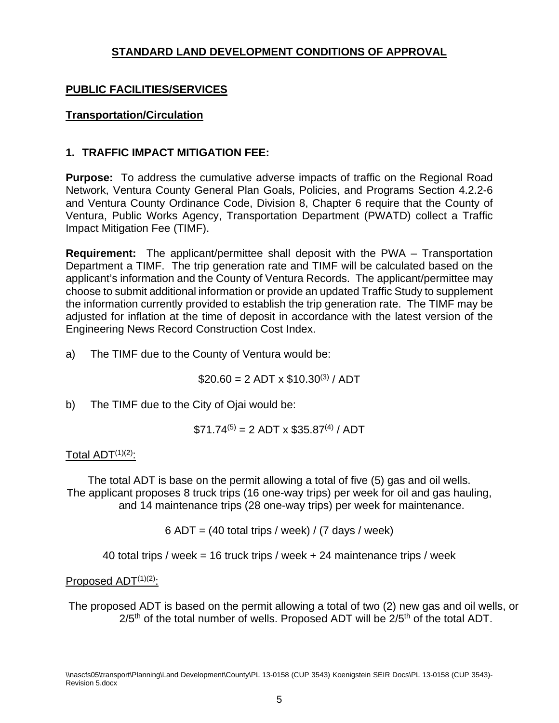# **STANDARD LAND DEVELOPMENT CONDITIONS OF APPROVAL**

# **PUBLIC FACILITIES/SERVICES**

## **Transportation/Circulation**

## **1. TRAFFIC IMPACT MITIGATION FEE:**

**Purpose:** To address the cumulative adverse impacts of traffic on the Regional Road Network, Ventura County General Plan Goals, Policies, and Programs Section 4.2.2-6 and Ventura County Ordinance Code, Division 8, Chapter 6 require that the County of Ventura, Public Works Agency, Transportation Department (PWATD) collect a Traffic Impact Mitigation Fee (TIMF).

**Requirement:** The applicant/permittee shall deposit with the PWA – Transportation Department a TIMF. The trip generation rate and TIMF will be calculated based on the applicant's information and the County of Ventura Records. The applicant/permittee may choose to submit additional information or provide an updated Traffic Study to supplement the information currently provided to establish the trip generation rate. The TIMF may be adjusted for inflation at the time of deposit in accordance with the latest version of the Engineering News Record Construction Cost Index.

a) The TIMF due to the County of Ventura would be:

 $$20.60 = 2$  ADT x  $$10.30^{(3)}$  / ADT

b) The TIMF due to the City of Ojai would be:

 $$71.74^{(5)} = 2$  ADT x \$35.87<sup>(4)</sup> / ADT

#### Total  $ADT^{(1)(2)}$ :

The total ADT is base on the permit allowing a total of five (5) gas and oil wells. The applicant proposes 8 truck trips (16 one-way trips) per week for oil and gas hauling, and 14 maintenance trips (28 one-way trips) per week for maintenance.

 $6$  ADT = (40 total trips / week) / (7 days / week)

40 total trips / week = 16 truck trips / week + 24 maintenance trips / week

#### Proposed  $ADT^{(1)(2)}$ :

The proposed ADT is based on the permit allowing a total of two (2) new gas and oil wells, or  $2/5$ <sup>th</sup> of the total number of wells. Proposed ADT will be  $2/5$ <sup>th</sup> of the total ADT.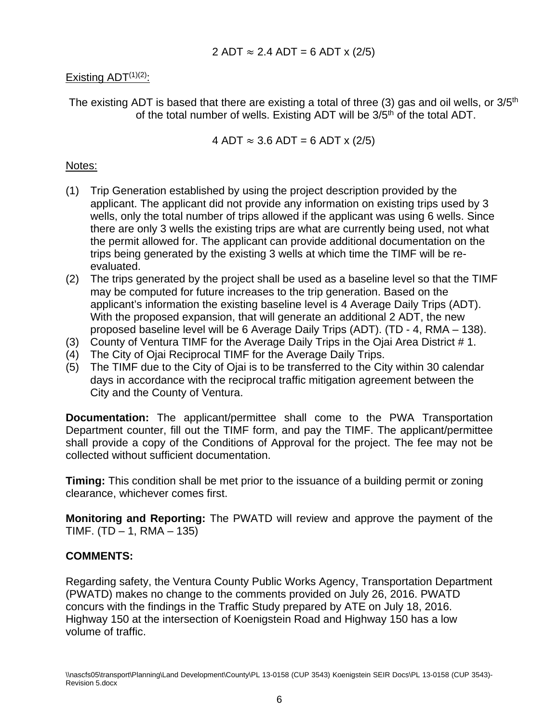# Existing  $ADT^{(1)(2)}$ :

The existing ADT is based that there are existing a total of three (3) gas and oil wells, or  $3/5<sup>th</sup>$ of the total number of wells. Existing ADT will be 3/5<sup>th</sup> of the total ADT.

4 ADT  $\approx 3.6$  ADT = 6 ADT x (2/5)

#### Notes:

- (1) Trip Generation established by using the project description provided by the applicant. The applicant did not provide any information on existing trips used by 3 wells, only the total number of trips allowed if the applicant was using 6 wells. Since there are only 3 wells the existing trips are what are currently being used, not what the permit allowed for. The applicant can provide additional documentation on the trips being generated by the existing 3 wells at which time the TIMF will be reevaluated.
- (2) The trips generated by the project shall be used as a baseline level so that the TIMF may be computed for future increases to the trip generation. Based on the applicant's information the existing baseline level is 4 Average Daily Trips (ADT). With the proposed expansion, that will generate an additional 2 ADT, the new proposed baseline level will be 6 Average Daily Trips (ADT). (TD - 4, RMA – 138).
- (3) County of Ventura TIMF for the Average Daily Trips in the Ojai Area District # 1.
- (4) The City of Ojai Reciprocal TIMF for the Average Daily Trips.
- (5) The TIMF due to the City of Ojai is to be transferred to the City within 30 calendar days in accordance with the reciprocal traffic mitigation agreement between the City and the County of Ventura.

**Documentation:** The applicant/permittee shall come to the PWA Transportation Department counter, fill out the TIMF form, and pay the TIMF. The applicant/permittee shall provide a copy of the Conditions of Approval for the project. The fee may not be collected without sufficient documentation.

**Timing:** This condition shall be met prior to the issuance of a building permit or zoning clearance, whichever comes first.

**Monitoring and Reporting:** The PWATD will review and approve the payment of the TIMF. (TD  $- 1$ , RMA  $- 135$ )

## **COMMENTS:**

Regarding safety, the Ventura County Public Works Agency, Transportation Department (PWATD) makes no change to the comments provided on July 26, 2016. PWATD concurs with the findings in the Traffic Study prepared by ATE on July 18, 2016. Highway 150 at the intersection of Koenigstein Road and Highway 150 has a low volume of traffic.